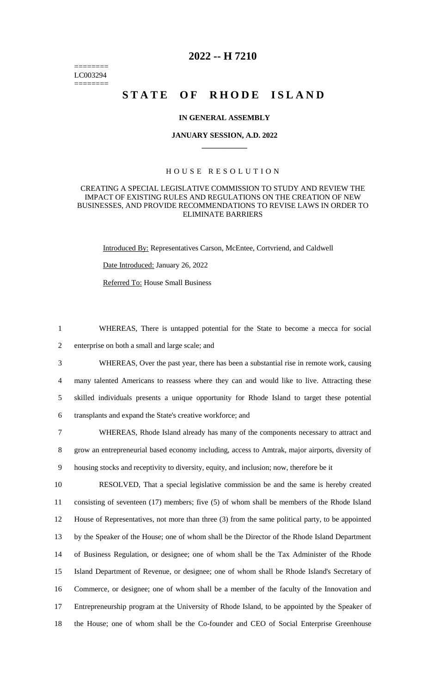======== LC003294 ========

# **2022 -- H 7210**

# **STATE OF RHODE ISLAND**

## **IN GENERAL ASSEMBLY**

## **JANUARY SESSION, A.D. 2022 \_\_\_\_\_\_\_\_\_\_\_\_**

# H O U S E R E S O L U T I O N

## CREATING A SPECIAL LEGISLATIVE COMMISSION TO STUDY AND REVIEW THE IMPACT OF EXISTING RULES AND REGULATIONS ON THE CREATION OF NEW BUSINESSES, AND PROVIDE RECOMMENDATIONS TO REVISE LAWS IN ORDER TO ELIMINATE BARRIERS

Introduced By: Representatives Carson, McEntee, Cortvriend, and Caldwell Date Introduced: January 26, 2022 Referred To: House Small Business

1 WHEREAS, There is untapped potential for the State to become a mecca for social 2 enterprise on both a small and large scale; and

 WHEREAS, Over the past year, there has been a substantial rise in remote work, causing many talented Americans to reassess where they can and would like to live. Attracting these skilled individuals presents a unique opportunity for Rhode Island to target these potential transplants and expand the State's creative workforce; and

7 WHEREAS, Rhode Island already has many of the components necessary to attract and 8 grow an entrepreneurial based economy including, access to Amtrak, major airports, diversity of 9 housing stocks and receptivity to diversity, equity, and inclusion; now, therefore be it

 RESOLVED, That a special legislative commission be and the same is hereby created consisting of seventeen (17) members; five (5) of whom shall be members of the Rhode Island House of Representatives, not more than three (3) from the same political party, to be appointed by the Speaker of the House; one of whom shall be the Director of the Rhode Island Department of Business Regulation, or designee; one of whom shall be the Tax Administer of the Rhode Island Department of Revenue, or designee; one of whom shall be Rhode Island's Secretary of Commerce, or designee; one of whom shall be a member of the faculty of the Innovation and Entrepreneurship program at the University of Rhode Island, to be appointed by the Speaker of the House; one of whom shall be the Co-founder and CEO of Social Enterprise Greenhouse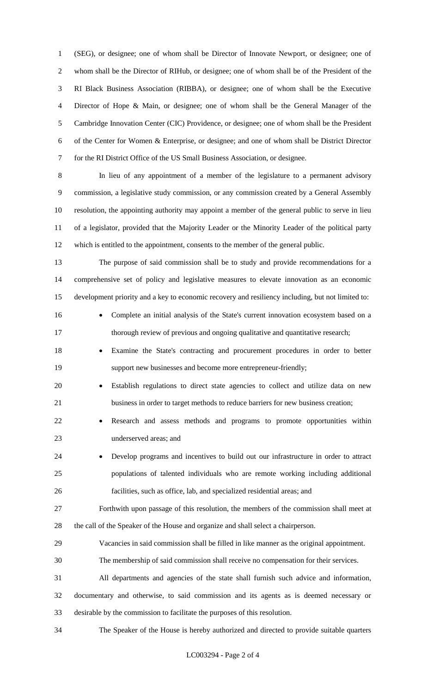(SEG), or designee; one of whom shall be Director of Innovate Newport, or designee; one of whom shall be the Director of RIHub, or designee; one of whom shall be of the President of the RI Black Business Association (RIBBA), or designee; one of whom shall be the Executive Director of Hope & Main, or designee; one of whom shall be the General Manager of the Cambridge Innovation Center (CIC) Providence, or designee; one of whom shall be the President of the Center for Women & Enterprise, or designee; and one of whom shall be District Director for the RI District Office of the US Small Business Association, or designee.

 In lieu of any appointment of a member of the legislature to a permanent advisory commission, a legislative study commission, or any commission created by a General Assembly resolution, the appointing authority may appoint a member of the general public to serve in lieu of a legislator, provided that the Majority Leader or the Minority Leader of the political party which is entitled to the appointment, consents to the member of the general public.

 The purpose of said commission shall be to study and provide recommendations for a comprehensive set of policy and legislative measures to elevate innovation as an economic development priority and a key to economic recovery and resiliency including, but not limited to:

16 • Complete an initial analysis of the State's current innovation ecosystem based on a thorough review of previous and ongoing qualitative and quantitative research;

- Examine the State's contracting and procurement procedures in order to better support new businesses and become more entrepreneur-friendly;
- Establish regulations to direct state agencies to collect and utilize data on new business in order to target methods to reduce barriers for new business creation;
- Research and assess methods and programs to promote opportunities within underserved areas; and
- Develop programs and incentives to build out our infrastructure in order to attract populations of talented individuals who are remote working including additional facilities, such as office, lab, and specialized residential areas; and

 Forthwith upon passage of this resolution, the members of the commission shall meet at the call of the Speaker of the House and organize and shall select a chairperson.

- Vacancies in said commission shall be filled in like manner as the original appointment.
- The membership of said commission shall receive no compensation for their services.

 All departments and agencies of the state shall furnish such advice and information, documentary and otherwise, to said commission and its agents as is deemed necessary or desirable by the commission to facilitate the purposes of this resolution.

The Speaker of the House is hereby authorized and directed to provide suitable quarters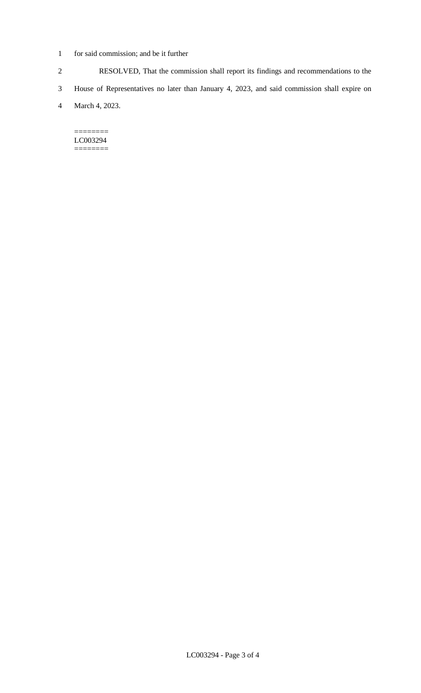- 1 for said commission; and be it further
- 2 RESOLVED, That the commission shall report its findings and recommendations to the
- 3 House of Representatives no later than January 4, 2023, and said commission shall expire on
- 4 March 4, 2023.

======== LC003294 ========